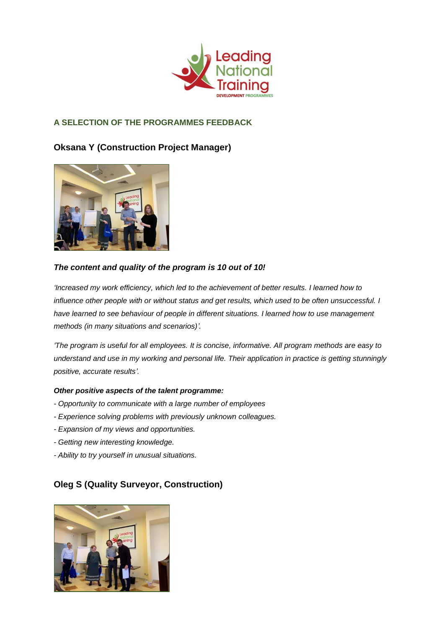

### **A SELECTION OF THE PROGRAMMES FEEDBACK**

# **Oksana Y (Construction Project Manager)**



### *The content and quality of the program is 10 out of 10!*

*'Increased my work efficiency, which led to the achievement of better results. I learned how to influence other people with or without status and get results, which used to be often unsuccessful. I have learned to see behaviour of people in different situations. I learned how to use management methods (in many situations and scenarios)'.*

*'The program is useful for all employees. It is concise, informative. All program methods are easy to understand and use in my working and personal life. Their application in practice is getting stunningly positive, accurate results'.*

#### *Other positive aspects of the talent programme:*

- *- Opportunity to communicate with a large number of employees*
- *- Experience solving problems with previously unknown colleagues.*
- *- Expansion of my views and opportunities.*
- *- Getting new interesting knowledge.*
- *- Ability to try yourself in unusual situations.*

# **Oleg S (Quality Surveyor, Construction)**

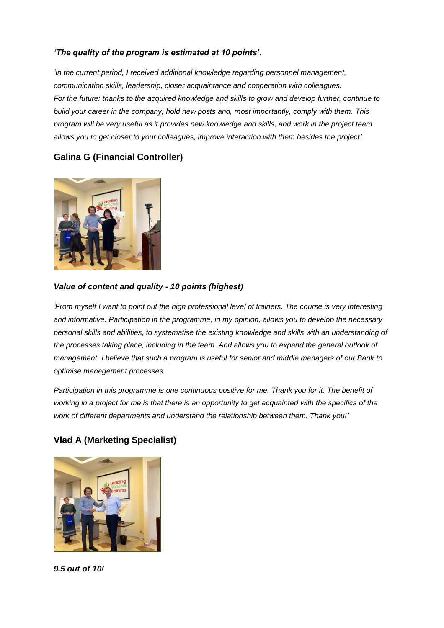#### *'The quality of the program is estimated at 10 points'.*

*'In the current period, I received additional knowledge regarding personnel management, communication skills, leadership, closer acquaintance and cooperation with colleagues. For the future: thanks to the acquired knowledge and skills to grow and develop further, continue to build your career in the company, hold new posts and, most importantly, comply with them. This program will be very useful as it provides new knowledge and skills, and work in the project team allows you to get closer to your colleagues, improve interaction with them besides the project'.*

## **Galina G (Financial Controller)**



#### *Value of content and quality - 10 points (highest)*

*'From myself I want to point out the high professional level of trainers. The course is very interesting and informative. Participation in the programme, in my opinion, allows you to develop the necessary personal skills and abilities, to systematise the existing knowledge and skills with an understanding of the processes taking place, including in the team. And allows you to expand the general outlook of management. I believe that such a program is useful for senior and middle managers of our Bank to optimise management processes.* 

*Participation in this programme is one continuous positive for me. Thank you for it. The benefit of working in a project for me is that there is an opportunity to get acquainted with the specifics of the work of different departments and understand the relationship between them. Thank you!'*

### **Vlad A (Marketing Specialist)**



*9.5 out of 10!*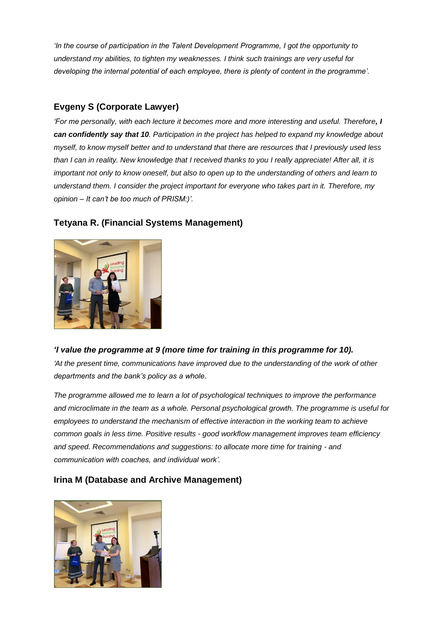*'In the course of participation in the Talent Development Programme, I got the opportunity to understand my abilities, to tighten my weaknesses. I think such trainings are very useful for developing the internal potential of each employee, there is plenty of content in the programme'.*

# **Evgeny S (Corporate Lawyer)**

*'For me personally, with each lecture it becomes more and more interesting and useful. Therefore, I can confidently say that 10. Participation in the project has helped to expand my knowledge about myself, to know myself better and to understand that there are resources that I previously used less than I can in reality. New knowledge that I received thanks to you I really appreciate! After all, it is important not only to know oneself, but also to open up to the understanding of others and learn to understand them. I consider the project important for everyone who takes part in it. Therefore, my opinion – It can't be too much of PRISM:)'.*



## **Tetyana R. (Financial Systems Management)**

*'I value the programme at 9 (more time for training in this programme for 10). 'At the present time, communications have improved due to the understanding of the work of other departments and the bank's policy as a whole.*

*The programme allowed me to learn a lot of psychological techniques to improve the performance and microclimate in the team as a whole. Personal psychological growth. The programme is useful for employees to understand the mechanism of effective interaction in the working team to achieve common goals in less time. Positive results - good workflow management improves team efficiency and speed. Recommendations and suggestions: to allocate more time for training - and communication with coaches, and individual work'.*

# **Irina M (Database and Archive Management)**